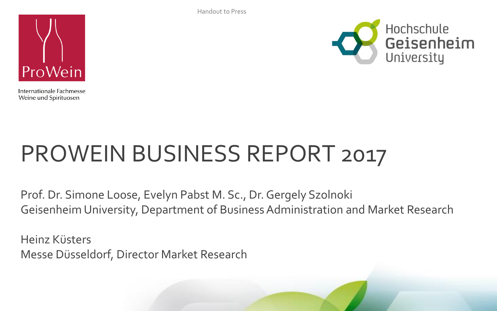Handout to Press



Internationale Fachmesse Weine und Spirituosen



# PROWEIN BUSINESS REPORT 2017

Prof. Dr. Simone Loose, Evelyn Pabst M. Sc., Dr. Gergely Szolnoki Geisenheim University, Department of Business Administration and Market Research

Heinz Küsters Messe Düsseldorf, Director Market Research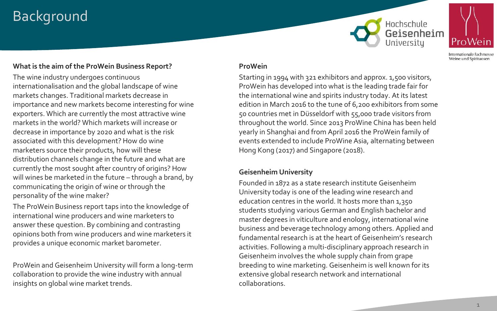# Background





Internationale Fachmesse Weine und Spirituosen

#### **What is the aim of the ProWein Business Report?**

The wine industry undergoes continuous internationalisation and the global landscape of wine markets changes. Traditional markets decrease in importance and new markets become interesting for wine exporters. Which are currently the most attractive wine markets in the world? Which markets will increase or decrease in importance by 2020 and what is the risk associated with this development? How do wine marketers source their products, how will these distribution channels change in the future and what are currently the most sought after country of origins? How will wines be marketed in the future – through a brand, by communicating the origin of wine or through the personality of the wine maker?

The ProWein Business report taps into the knowledge of international wine producers and wine marketers to answer these question. By combining and contrasting opinions both from wine producers and wine marketers it provides a unique economic market barometer.

ProWein and Geisenheim University will form a long-term collaboration to provide the wine industry with annual insights on global wine market trends.

#### **ProWein**

Starting in 1994 with 321 exhibitors and approx. 1,500 visitors, ProWein has developed into what is the leading trade fair for the international wine and spirits industry today. At its latest edition in March 2016 to the tune of 6,200 exhibitors from some 50 countries met in Düsseldorf with 55,000 trade visitors from throughout the world. Since 2013 ProWine China has been held yearly in Shanghai and from April 2016 the ProWein family of events extended to include ProWine Asia, alternating between Hong Kong (2017) and Singapore (2018).

#### **Geisenheim University**

Founded in 1872 as a state research institute Geisenheim University today is one of the leading wine research and education centres in the world. It hosts more than 1,350 students studying various German and English bachelor and master degrees in viticulture and enology, international wine business and beverage technology among others. Applied and fundamental research is at the heart of Geisenheim's research activities. Following a multi-disciplinary approach research in Geisenheim involves the whole supply chain from grape breeding to wine marketing. Geisenheim is well known for its extensive global research network and international collaborations.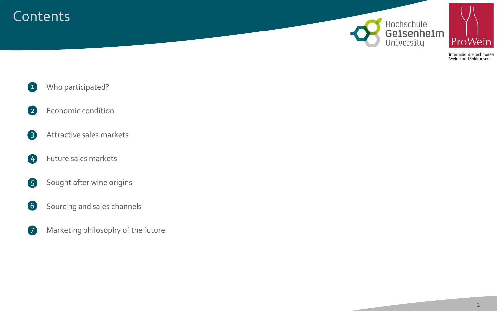# **Contents**





Internationale Fachmesse Weine und Spirituosen

- Who participated?  $\bullet$
- Economic condition 2
- Attractive sales markets 3
- Future sales markets 4
- Sought after wine origins 5
- Sourcing and sales channels 6
- Marketing philosophy of the future 7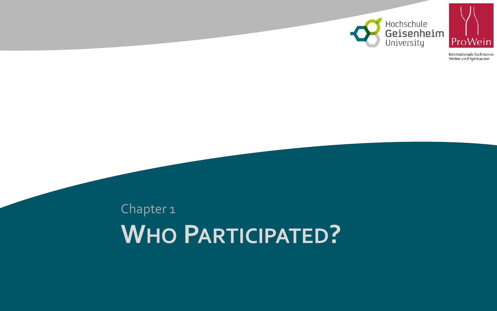



# **WHO PARTICIPATED?** Chapter 1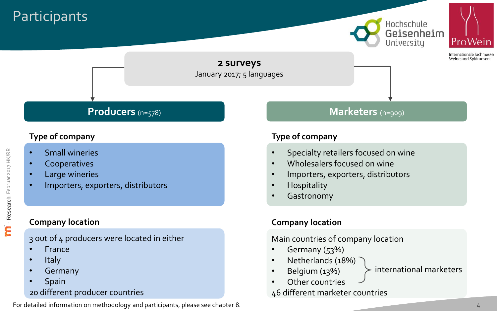# **Participants**





nternationale Fachmess Weine und Spirituosen

**2 surveys** January 2017; 5 languages

## **Type of company**

- Small wineries
- Cooperatives
- Large wineries
- Importers, exporters, distributors

## **Company location**

3 out of 4 producers were located in either

- France
- Italy
- **Germany**
- **Spain**

## 20 different producer countries

For detailed information on methodology and participants, please see chapter 8.

# **Producers** (n=578) **Marketers** (n=909)

## **Type of company**

- Specialty retailers focused on wine
- Wholesalers focused on wine
- Importers, exporters, distributors
- Hospitality
- **Gastronomy**

## **Company location**

Main countries of company location

- Germany (53%)
- Netherlands (18%)
- Belgium (13%)
- international marketers
- Other countries

46 different marketer countries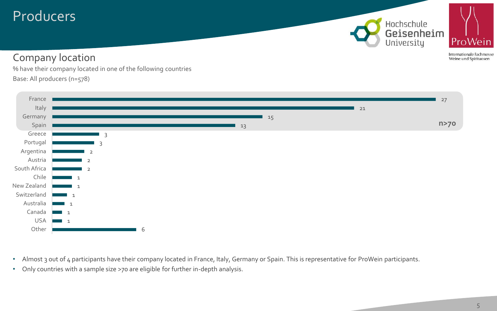# Producers

Hochschule Geisenheim University



# Company location

Internationale Fachmesse Weine und Spirituosen

% have their company located in one of the following countries Base: All producers (n=578)



- Almost 3 out of 4 participants have their company located in France, Italy, Germany or Spain. This is representative for ProWein participants.
- Only countries with a sample size >70 are eligible for further in-depth analysis.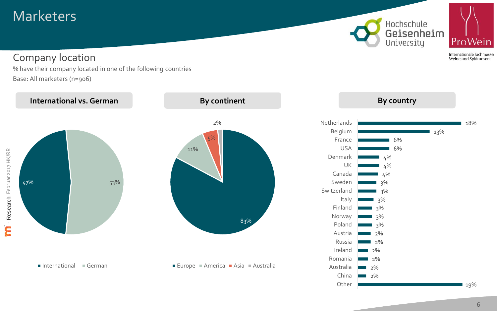# **Marketers**

Hochschule Geisenheim<br>University



Internationale Fachmesse Weine und Spirituosen

## Company location

% have their company located in one of the following countries Base: All marketers (n=906)

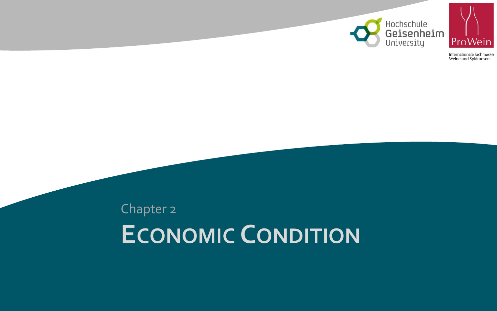



# **ECONOMIC CONDITION** Chapter 2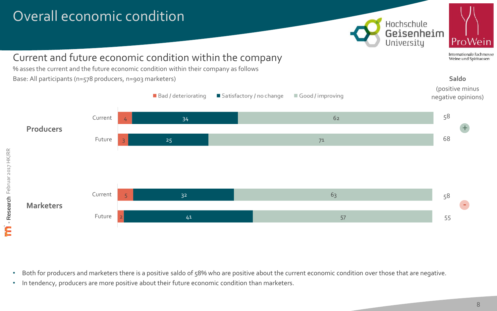# Overall economic condition





Internationale Fachmesse Weine und Spirituosen

**Saldo**

# Current and future economic condition within the company

% asses the current and the future economic condition within their company as follows Base: All participants (n=578 producers, n=903 marketers)



• Both for producers and marketers there is a positive saldo of 58% who are positive about the current economic condition over those that are negative.

• In tendency, producers are more positive about their future economic condition than marketers.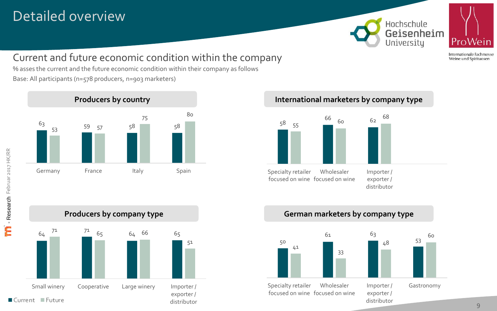# Detailed overview





Internationale Fachmesse Weine und Spirituosen

Current and future economic condition within the company

% asses the current and the future economic condition within their company as follows Base: All participants (n=578 producers, n=903 marketers)



# **Producers by country and the set of the set of the linternational marketers by company type**









distributor

**11** Research Februar 2017 HK/RR - Research Februar 2017 HK/RR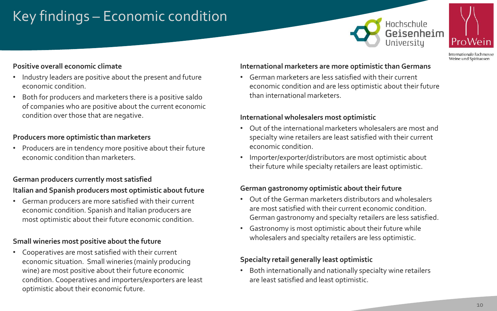# Key findings – Economic condition





Internationale Fachmesse Weine und Spirituosen

## **Positive overall economic climate**

- Industry leaders are positive about the present and future economic condition.
- Both for producers and marketers there is a positive saldo of companies who are positive about the current economic condition over those that are negative.

## **Producers more optimistic than marketers**

• Producers are in tendency more positive about their future economic condition than marketers.

## **German producers currently most satisfied**

## **Italian and Spanish producers most optimistic about future**

• German producers are more satisfied with their current economic condition. Spanish and Italian producers are most optimistic about their future economic condition.

## **Small wineries most positive about the future**

• Cooperatives are most satisfied with their current economic situation. Small wineries (mainly producing wine) are most positive about their future economic condition. Cooperatives and importers/exporters are least optimistic about their economic future.

#### **International marketers are more optimistic than Germans**

• German marketers are less satisfied with their current economic condition and are less optimistic about their future than international marketers.

#### **International wholesalers most optimistic**

- Out of the international marketers wholesalers are most and specialty wine retailers are least satisfied with their current economic condition.
- Importer/exporter/distributors are most optimistic about their future while specialty retailers are least optimistic.

#### **German gastronomy optimistic about their future**

- Out of the German marketers distributors and wholesalers are most satisfied with their current economic condition. German gastronomy and specialty retailers are less satisfied.
- Gastronomy is most optimistic about their future while wholesalers and specialty retailers are less optimistic.

## **Specialty retail generally least optimistic**

• Both internationally and nationally specialty wine retailers are least satisfied and least optimistic.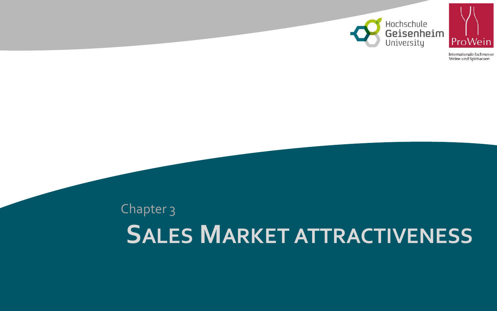



# **SALES MARKET ATTRACTIVENESS** Chapter 3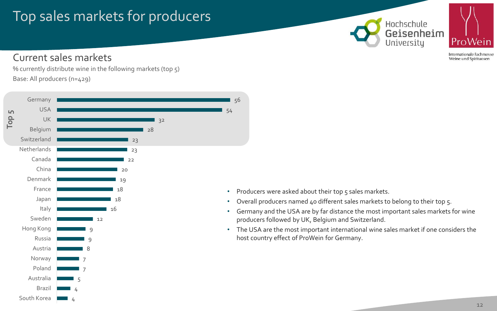# Top sales markets for producers





Internationale Fachmesse Weine und Spirituosen

## Current sales markets

% currently distribute wine in the following markets (top 5) Base: All producers (n=429)



• Producers were asked about their top 5 sales markets.

56

- Overall producers named 40 different sales markets to belong to their top 5.
- Germany and the USA are by far distance the most important sales markets for wine producers followed by UK, Belgium and Switzerland.
- The USA are the most important international wine sales market if one considers the host country effect of ProWein for Germany.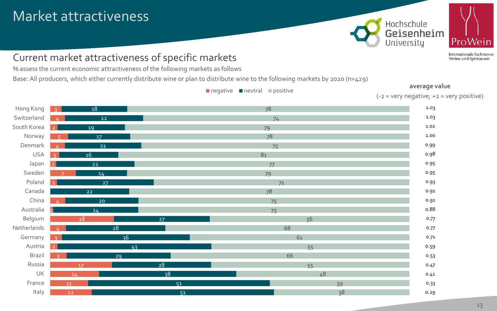# Market attractiveness





Internationale Fachmesse Weine und Spirituosen

# Current market attractiveness of specific markets

% assess the current economic attractiveness of the following markets as follows

Base: All producers, which either currently distribute wine or plan to distribute wine to the following markets by 2020 (n=429)

| Hong Kong   | 18<br>$\overline{2}$         | 78                    | 1.03 |
|-------------|------------------------------|-----------------------|------|
| Switzerland |                              |                       | 1.03 |
|             |                              | 22<br>74              |      |
| South Korea | 19<br>79<br>$\mathcal{D}$    |                       | 1.02 |
| Norway      | 17                           | 78                    | 1.00 |
| Denmark     | 21                           | 75                    | 0.99 |
| <b>USA</b>  | 16                           | 81                    | 0.98 |
| Japan       | 22                           | 77                    | 0.95 |
| Sweden      | 14                           | 79                    | 0.95 |
| Poland      | 27<br>$\mathcal{D}$          | 71                    | 0.93 |
| Canada      | 22                           | 78                    | 0.91 |
| China       | 20                           | 75                    | 0.91 |
| Australia   | 24                           | 75                    | 0.88 |
| Belgium     | 18                           | 56<br>27              | 0.77 |
| Netherlands | 28                           | 68                    | 0.77 |
| Germany     | $\overline{36}$<br>$\bigcap$ | 61                    | 0.71 |
| Austria     | 43<br>$\overline{z}$         | 55                    | 0.59 |
| Brazil      | 29                           | 66                    | 0.53 |
| Russia      | 17                           | 28<br>55              | 0.47 |
| UK          | 14                           | $\overline{38}$<br>48 | 0.41 |
| France      | 11                           | 51<br>39              | 0.33 |
| Italy       | 12                           | 38<br>51              | 0.29 |

 $\blacksquare$  negative  $\blacksquare$  neutral  $\blacksquare$  positive

**average value**  $(-2 = \text{very negative}; +2 = \text{very positive})$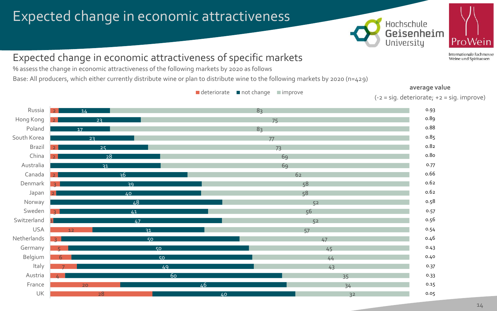# Expected change in economic attractiveness





Internationale Fachmesse Weine und Spirituosen

## Expected change in economic attractiveness of specific markets

% assess the change in economic attractiveness of the following markets by 2020 as follows

Base: All producers, which either currently distribute wine or plan to distribute wine to the following markets by 2020 (n=429)

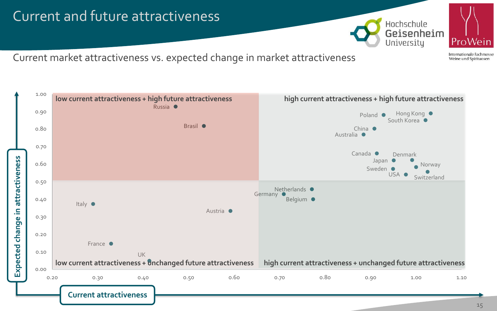



ProWein Internationale Fachmesse

Weine und Spirituosen

Current market attractiveness vs. expected change in market attractiveness

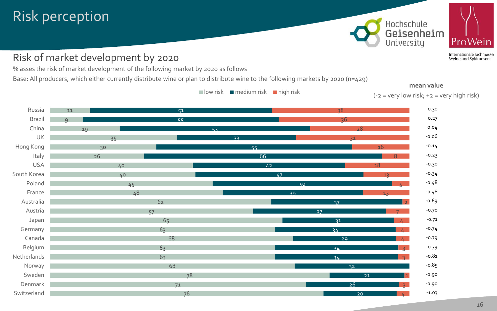# Risk perception

## Risk of market development by 2020

% asses the risk of market development of the following market by 2020 as follows

Base: All producers, which either currently distribute wine or plan to distribute wine to the following markets by 2020 (n=429)



Weine und Spirituosen

ProWein

Internationale Fachmesse



**mean value**

16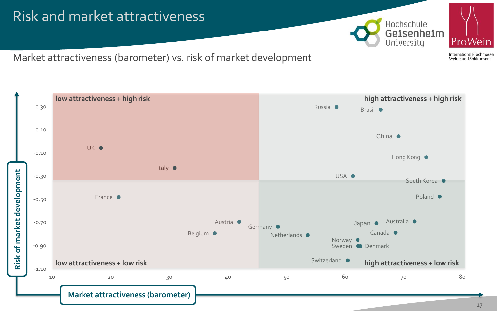# Risk and market attractiveness



ProWein Internationale Fachmesse

Weine und Spirituosen

Market attractiveness (barometer) vs. risk of market development

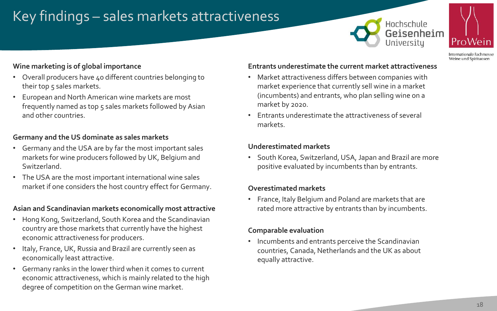# Key findings – sales markets attractiveness

## Hochschule Geisenheim Universitu



nternationale Fachmesse Weine und Spirituosen

## **Wine marketing is of global importance**

- Overall producers have 40 different countries belonging to their top 5 sales markets.
- European and North American wine markets are most frequently named as top 5 sales markets followed by Asian and other countries.

#### **Germany and the US dominate as sales markets**

- Germany and the USA are by far the most important sales markets for wine producers followed by UK, Belgium and Switzerland.
- The USA are the most important international wine sales market if one considers the host country effect for Germany.

#### **Asian and Scandinavian markets economically most attractive**

- Hong Kong, Switzerland, South Korea and the Scandinavian country are those markets that currently have the highest economic attractiveness for producers.
- Italy, France, UK, Russia and Brazil are currently seen as economically least attractive.
- Germany ranks in the lower third when it comes to current economic attractiveness, which is mainly related to the high degree of competition on the German wine market.

#### **Entrants underestimate the current market attractiveness**

- Market attractiveness differs between companies with market experience that currently sell wine in a market (incumbents) and entrants, who plan selling wine on a market by 2020.
- Entrants underestimate the attractiveness of several markets.

#### **Underestimated markets**

• South Korea, Switzerland, USA, Japan and Brazil are more positive evaluated by incumbents than by entrants.

#### **Overestimated markets**

• France, Italy Belgium and Poland are markets that are rated more attractive by entrants than by incumbents.

## **Comparable evaluation**

• Incumbents and entrants perceive the Scandinavian countries, Canada, Netherlands and the UK as about equally attractive.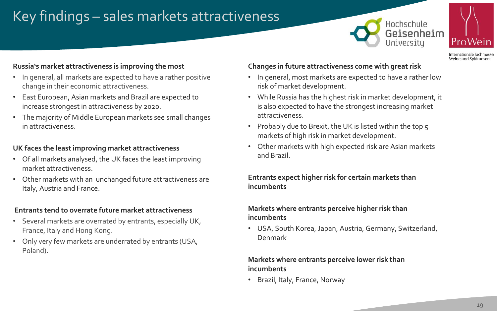# Key findings – sales markets attractiveness





Internationale Fachmesse Weine und Spirituosen

#### **Russia's market attractiveness is improving the most**

- In general, all markets are expected to have a rather positive change in their economic attractiveness.
- East European, Asian markets and Brazil are expected to increase strongest in attractiveness by 2020.
- The majority of Middle European markets see small changes in attractiveness.

## **UK faces the least improving market attractiveness**

- Of all markets analysed, the UK faces the least improving market attractiveness.
- Other markets with an unchanged future attractiveness are Italy, Austria and France.

#### **Entrants tend to overrate future market attractiveness**

- Several markets are overrated by entrants, especially UK, France, Italy and Hong Kong.
- Only very few markets are underrated by entrants (USA, Poland).

#### **Changes in future attractiveness come with great risk**

- In general, most markets are expected to have a rather low risk of market development.
- While Russia has the highest risk in market development, it is also expected to have the strongest increasing market attractiveness.
- Probably due to Brexit, the UK is listed within the top 5 markets of high risk in market development.
- Other markets with high expected risk are Asian markets and Brazil.

#### **Entrants expect higher risk for certain markets than incumbents**

## **Markets where entrants perceive higher risk than incumbents**

• USA, South Korea, Japan, Austria, Germany, Switzerland, Denmark

#### **Markets where entrants perceive lower risk than incumbents**

• Brazil, Italy, France, Norway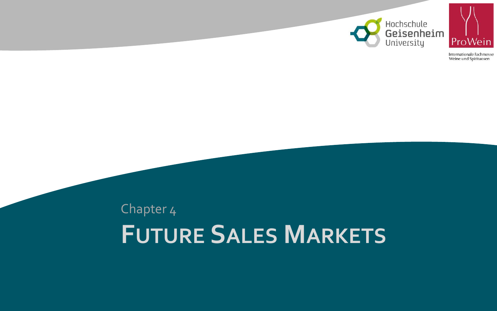



# **FUTURE SALES MARKETS** Chapter 4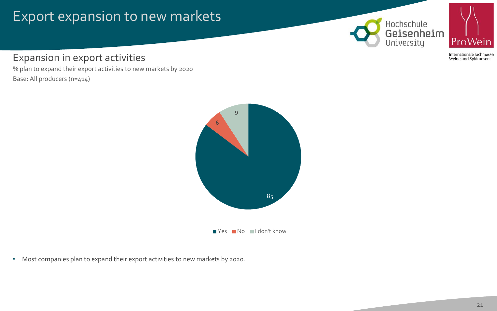# Export expansion to new markets





Internationale Fachmesse Weine und Spirituosen

Expansion in export activities

% plan to expand their export activities to new markets by 2020 Base: All producers (n=414)



Yes No I don't know

• Most companies plan to expand their export activities to new markets by 2020.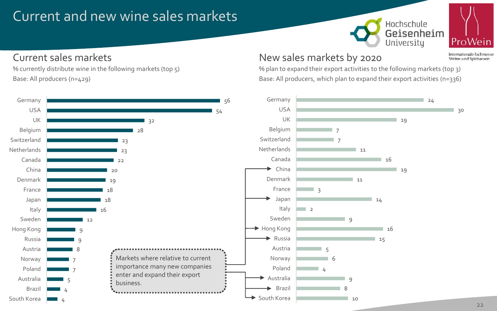# Current and new wine sales markets





Internationale Fachmesse Weine und Spirituosen

# Current sales markets

4

South Korea

% currently distribute wine in the following markets (top 5) Base: All producers (n=429)



# New sales markets by 2020

% plan to expand their export activities to the following markets (top 3) Base: All producers, which plan to expand their export activities (n=336)

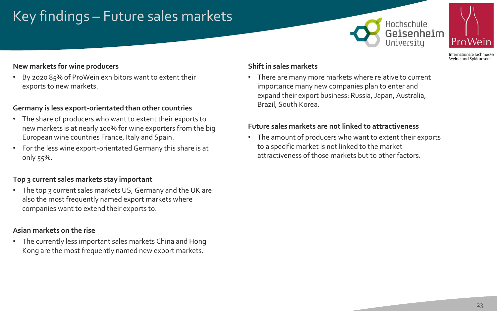# Key findings – Future sales markets

## Hochschule Geisenheim Universitu



Internationale Fachmesse Weine und Spirituosen

## **New markets for wine producers**

• By 2020 85% of ProWein exhibitors want to extent their exports to new markets.

## **Germany is less export-orientated than other countries**

- The share of producers who want to extent their exports to new markets is at nearly 100% for wine exporters from the big European wine countries France, Italy and Spain.
- For the less wine export-orientated Germany this share is at only 55%.

## **Top 3 current sales markets stay important**

• The top 3 current sales markets US, Germany and the UK are also the most frequently named export markets where companies want to extend their exports to.

## **Asian markets on the rise**

• The currently less important sales markets China and Hong Kong are the most frequently named new export markets.

#### **Shift in sales markets**

• There are many more markets where relative to current importance many new companies plan to enter and expand their export business: Russia, Japan, Australia, Brazil, South Korea.

## **Future sales markets are not linked to attractiveness**

• The amount of producers who want to extent their exports to a specific market is not linked to the market attractiveness of those markets but to other factors.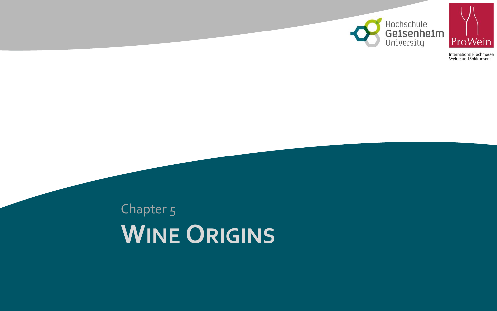



# **WINE ORIGINS** Chapter 5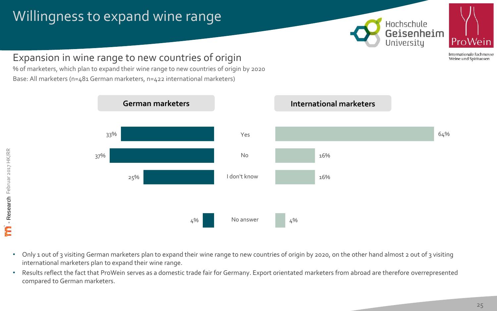# Willingness to expand wine range





Internationale Fachmesse Weine und Spirituosen

# Expansion in wine range to new countries of origin

% of marketers, which plan to expand their wine range to new countries of origin by 2020 Base: All marketers (n=481 German marketers, n=422 international marketers)



#### • Only 1 out of 3 visiting German marketers plan to expand their wine range to new countries of origin by 2020, on the other hand almost 2 out of 3 visiting international marketers plan to expand their wine range.

• Results reflect the fact that ProWein serves as a domestic trade fair for Germany. Export orientated marketers from abroad are therefore overrepresented compared to German marketers.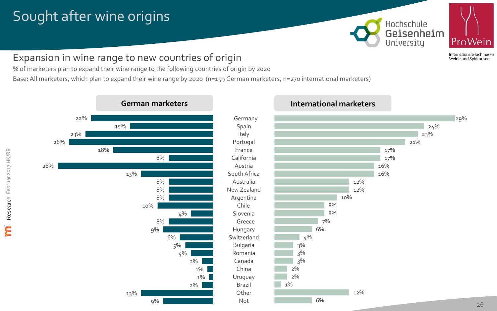# Sought after wine origins





Internationale Fachmesse Weine und Spirituosen

# Expansion in wine range to new countries of origin

% of marketers plan to expand their wine range to the following countries of origin by 2020

Base: All marketers, which plan to expand their wine range by 2020 (n=159 German marketers, n=270 international marketers)



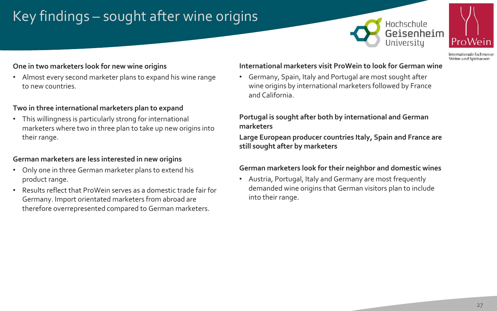# Key findings – sought after wine origins





Internationale Fachmesse Weine und Spirituosen

#### **One in two marketers look for new wine origins**

• Almost every second marketer plans to expand his wine range to new countries.

#### **Two in three international marketers plan to expand**

• This willingness is particularly strong for international marketers where two in three plan to take up new origins into their range.

#### **German marketers are less interested in new origins**

- Only one in three German marketer plans to extend his product range.
- Results reflect that ProWein serves as a domestic trade fair for Germany. Import orientated marketers from abroad are therefore overrepresented compared to German marketers.

#### **International marketers visit ProWein to look for German wine**

• Germany, Spain, Italy and Portugal are most sought after wine origins by international marketers followed by France and California.

#### **Portugal is sought after both by international and German marketers**

**Large European producer countries Italy, Spain and France are still sought after by marketers**

#### **German marketers look for their neighbor and domestic wines**

• Austria, Portugal, Italy and Germany are most frequently demanded wine origins that German visitors plan to include into their range.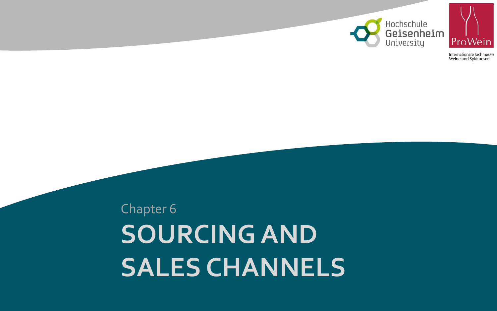



**SOURCING AND SALES CHANNELS**  Chapter 6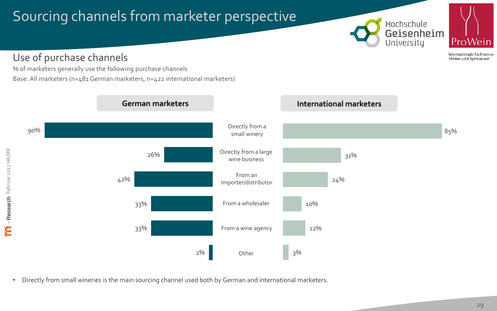# Sourcing channels from marketer perspective





Internationale Fachmesse Weine und Spirituosen

Use of purchase channels

% of marketers generally use the following purchase channels Base: All marketers (n=481 German marketers, n=422 international marketers)



• Directly from small wineries is the main sourcing channel used both by German and international marketers.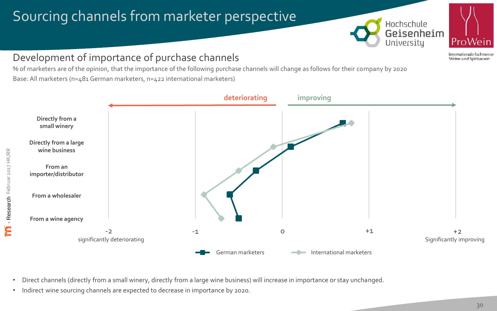# Sourcing channels from marketer perspective





Internationale Fachmesse Weine und Spirituosen

# Development of importance of purchase channels

% of marketers are of the opinion, that the importance of the following purchase channels will change as follows for their company by 2020 Base: All marketers (n=481 German marketers, n=422 international marketers)



- Direct channels (directly from a small winery, directly from a large wine business) will increase in importance or stay unchanged.
- Indirect wine sourcing channels are expected to decrease in importance by 2020.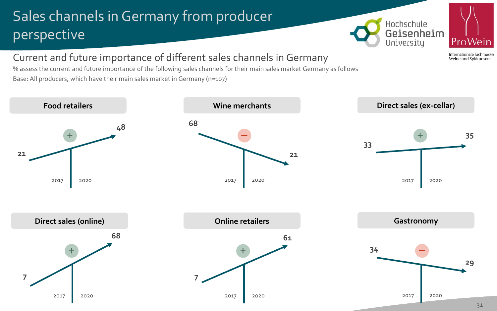# Sales channels in Germany from producer perspective





Internationale Fachmesse Weine und Spirituosen

# Current and future importance of different sales channels in Germany

% assess the current and future importance of the following sales channels for their main sales market Germany as follows Base: All producers, which have their main sales market in Germany (n=107)

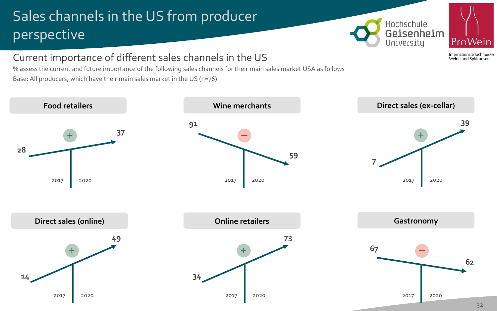# Sales channels in the US from producer perspective





Internationale Fachmesse Weine und Spirituosen

# Current importance of different sales channels in the US

% assess the current and future importance of the following sales channels for their main sales market USA as follows Base: All producers, which have their main sales market in the US (n=76)

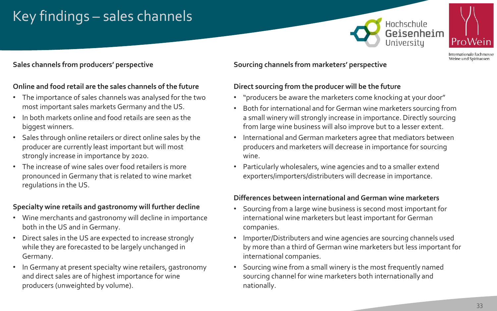# Key findings – sales channels





Internationale Fachmess Weine und Spirituosen

## **Sales channels from producers' perspective**

## **Online and food retail are the sales channels of the future**

- The importance of sales channels was analysed for the two most important sales markets Germany and the US.
- In both markets online and food retails are seen as the biggest winners.
- Sales through online retailers or direct online sales by the producer are currently least important but will most strongly increase in importance by 2020.
- The increase of wine sales over food retailers is more pronounced in Germany that is related to wine market regulations in the US.

## **Specialty wine retails and gastronomy will further decline**

- Wine merchants and gastronomy will decline in importance both in the US and in Germany.
- Direct sales in the US are expected to increase strongly while they are forecasted to be largely unchanged in Germany.
- In Germany at present specialty wine retailers, gastronomy and direct sales are of highest importance for wine producers (unweighted by volume).

## **Sourcing channels from marketers' perspective**

## **Direct sourcing from the producer will be the future**

- "producers be aware the marketers come knocking at your door"
- Both for international and for German wine marketers sourcing from a small winery will strongly increase in importance. Directly sourcing from large wine business will also improve but to a lesser extent.
- International and German marketers agree that mediators between producers and marketers will decrease in importance for sourcing wine.
- Particularly wholesalers, wine agencies and to a smaller extend exporters/importers/distributers will decrease in importance.

#### **Differences between international and German wine marketers**

- Sourcing from a large wine business is second most important for international wine marketers but least important for German companies.
- Importer/Distributers and wine agencies are sourcing channels used by more than a third of German wine marketers but less important for international companies.
- Sourcing wine from a small winery is the most frequently named sourcing channel for wine marketers both internationally and nationally.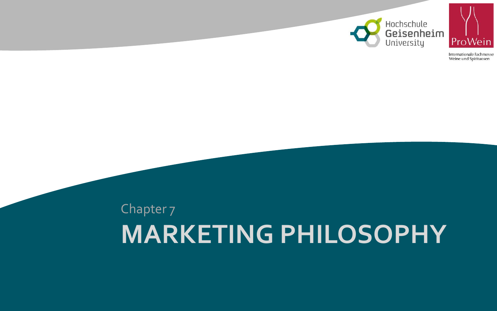



# **MARKETING PHILOSOPHY** Chapter 7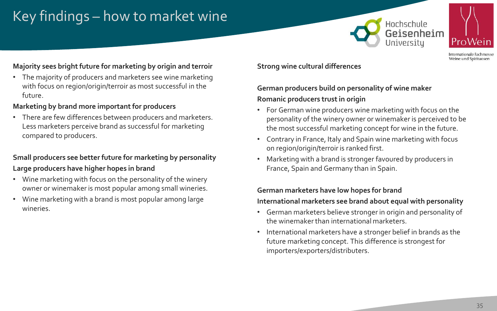# Key findings – how to market wine





Internationale Fachmesse Weine und Spirituosen

## **Majority sees bright future for marketing by origin and terroir**

• The majority of producers and marketers see wine marketing with focus on region/origin/terroir as most successful in the future.

## **Marketing by brand more important for producers**

• There are few differences between producers and marketers. Less marketers perceive brand as successful for marketing compared to producers.

## **Small producers see better future for marketing by personality Large producers have higher hopes in brand**

- Wine marketing with focus on the personality of the winery owner or winemaker is most popular among small wineries.
- Wine marketing with a brand is most popular among large wineries.

## **Strong wine cultural differences**

## **German producers build on personality of wine maker Romanic producers trust in origin**

- For German wine producers wine marketing with focus on the personality of the winery owner or winemaker is perceived to be the most successful marketing concept for wine in the future.
- Contrary in France, Italy and Spain wine marketing with focus on region/origin/terroir is ranked first.
- Marketing with a brand is stronger favoured by producers in France, Spain and Germany than in Spain.

# **German marketers have low hopes for brand**

## **International marketers see brand about equal with personality**

- German marketers believe stronger in origin and personality of the winemaker than international marketers.
- International marketers have a stronger belief in brands as the future marketing concept. This difference is strongest for importers/exporters/distributers.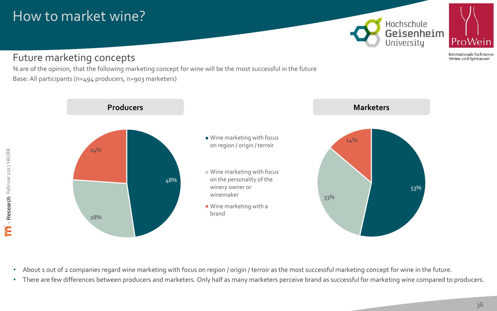# How to market wine?



# Future marketing concepts

% are of the opinion, that the following marketing concept for wine will be the most successful in the future Base: All participants (n=494 producers, n=903 marketers)



• About 1 out of 2 companies regard wine marketing with focus on region / origin / terroir as the most successful marketing concept for wine in the future.

• There are few differences between producers and marketers. Only half as many marketers perceive brand as successful for marketing wine compared to producers.

Weine und Spirituosen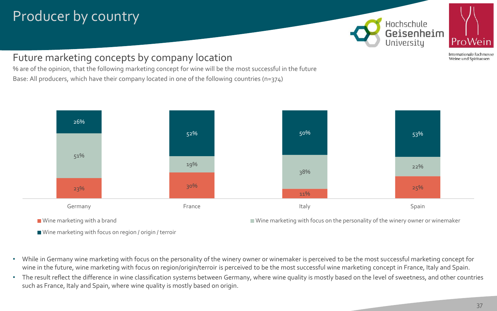# Producer by country





Internationale Fachmesse Weine und Spirituosen

Future marketing concepts by company location

% are of the opinion, that the following marketing concept for wine will be the most successful in the future Base: All producers, which have their company located in one of the following countries (n=374)



- While in Germany wine marketing with focus on the personality of the winery owner or winemaker is perceived to be the most successful marketing concept for wine in the future, wine marketing with focus on region/origin/terroir is perceived to be the most successful wine marketing concept in France, Italy and Spain.
- The result reflect the difference in wine classification systems between Germany, where wine quality is mostly based on the level of sweetness, and other countries such as France, Italy and Spain, where wine quality is mostly based on origin.

Wine marketing with focus on region / origin / terroir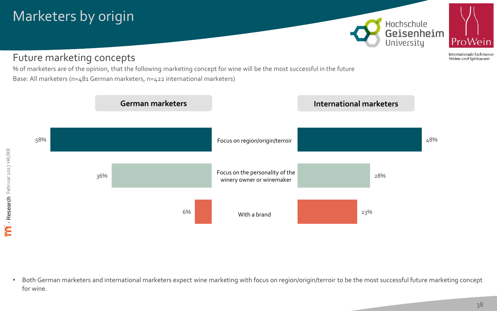# Marketers by origin



# Future marketing concepts

% of marketers are of the opinion, that the following marketing concept for wine will be the most successful in the future Base: All marketers (n=481 German marketers, n=422 international marketers)



• Both German marketers and international marketers expect wine marketing with focus on region/origin/terroir to be the most successful future marketing concept for wine.

Internationale Fachmesse Weine und Spirituosen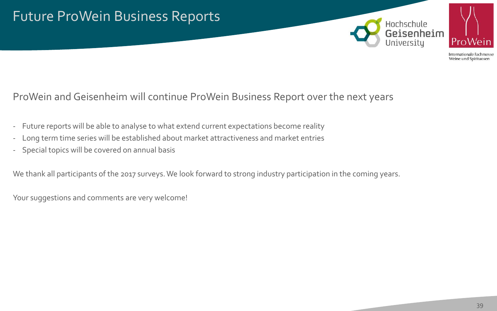



# ProWein and Geisenheim will continue ProWein Business Report over the next years

- Future reports will be able to analyse to what extend current expectations become reality
- Long term time series will be established about market attractiveness and market entries
- Special topics will be covered on annual basis

We thank all participants of the 2017 surveys. We look forward to strong industry participation in the coming years.

Your suggestions and comments are very welcome!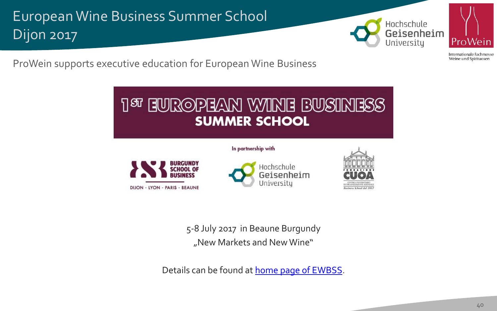European Wine Business Summer School Dijon 2017





Internationale Fachmesse Weine und Spirituosen

ProWein supports executive education for European Wine Business

# **T&L EINBOBEAN ANIME BINSIMERS SUMMER SCHOOL**

#### In partnership with







5-8 July 2017 in Beaune Burgundy "New Markets and New Wine"

Details can be found at **home page [of EWBSS](http://swsb.eu/index.php?page=european-wine-business-summer-school)**.